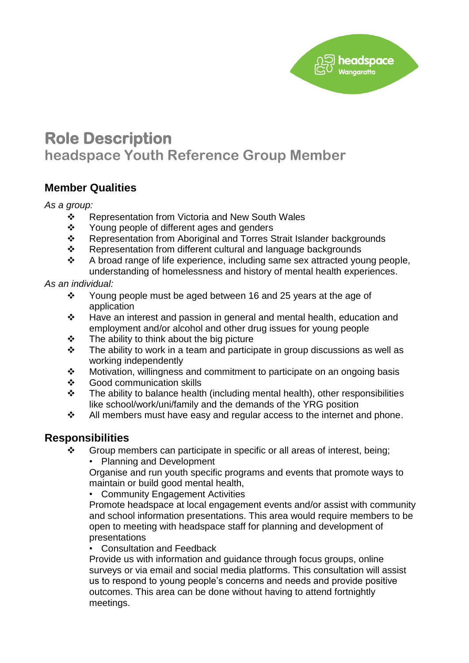

# **Role Description headspace Youth Reference Group Member**

## **Member Qualities**

*As a group:*

- ❖ Representation from Victoria and New South Wales
- ❖ Young people of different ages and genders
- Representation from Aboriginal and Torres Strait Islander backgrounds
- \* Representation from different cultural and language backgrounds
- $\div$  A broad range of life experience, including same sex attracted young people, understanding of homelessness and history of mental health experiences.

#### *As an individual:*

- $\div$  Young people must be aged between 16 and 25 years at the age of application
- Have an interest and passion in general and mental health, education and employment and/or alcohol and other drug issues for young people
- $\div$  The ability to think about the big picture
- $\div$  The ability to work in a team and participate in group discussions as well as working independently
- Motivation, willingness and commitment to participate on an ongoing basis
- Good communication skills
- $\div$  The ability to balance health (including mental health), other responsibilities like school/work/uni/family and the demands of the YRG position
- $\div$  All members must have easy and regular access to the internet and phone.

#### **Responsibilities**

- $\div$  Group members can participate in specific or all areas of interest, being;
	- Planning and Development

Organise and run youth specific programs and events that promote ways to maintain or build good mental health,

• Community Engagement Activities

Promote headspace at local engagement events and/or assist with community and school information presentations. This area would require members to be open to meeting with headspace staff for planning and development of presentations

• Consultation and Feedback

Provide us with information and guidance through focus groups, online surveys or via email and social media platforms. This consultation will assist us to respond to young people's concerns and needs and provide positive outcomes. This area can be done without having to attend fortnightly meetings.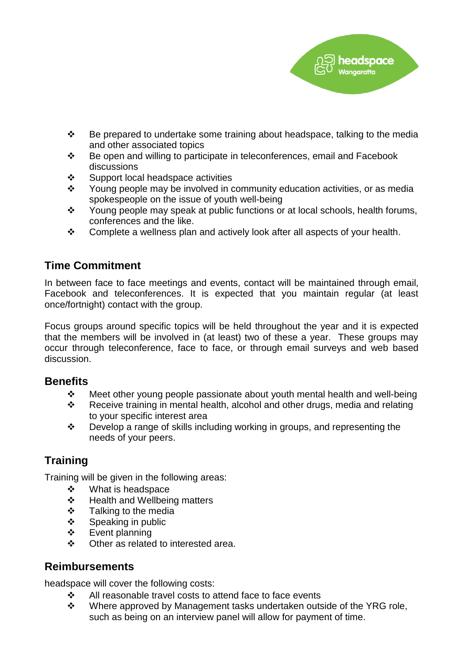

- $\div$  Be prepared to undertake some training about headspace, talking to the media and other associated topics
- $\div$  Be open and willing to participate in teleconferences, email and Facebook discussions
- ❖ Support local headspace activities
- \* Young people may be involved in community education activities, or as media spokespeople on the issue of youth well-being
- \* Young people may speak at public functions or at local schools, health forums, conferences and the like.
- $\div$  Complete a wellness plan and actively look after all aspects of your health.

## **Time Commitment**

In between face to face meetings and events, contact will be maintained through email, Facebook and teleconferences. It is expected that you maintain regular (at least once/fortnight) contact with the group.

Focus groups around specific topics will be held throughout the year and it is expected that the members will be involved in (at least) two of these a year. These groups may occur through teleconference, face to face, or through email surveys and web based discussion.

#### **Benefits**

- Meet other young people passionate about youth mental health and well-being
- $\div$  Receive training in mental health, alcohol and other drugs, media and relating to your specific interest area
- $\cdot \cdot$  Develop a range of skills including working in groups, and representing the needs of your peers.

## **Training**

Training will be given in the following areas:

- What is headspace
- ❖ Health and Wellbeing matters
- $\div$  Talking to the media
- $\div$  Speaking in public
- Event planning
- $\div$  Other as related to interested area.

#### **Reimbursements**

headspace will cover the following costs:

- All reasonable travel costs to attend face to face events
- Where approved by Management tasks undertaken outside of the YRG role, such as being on an interview panel will allow for payment of time.